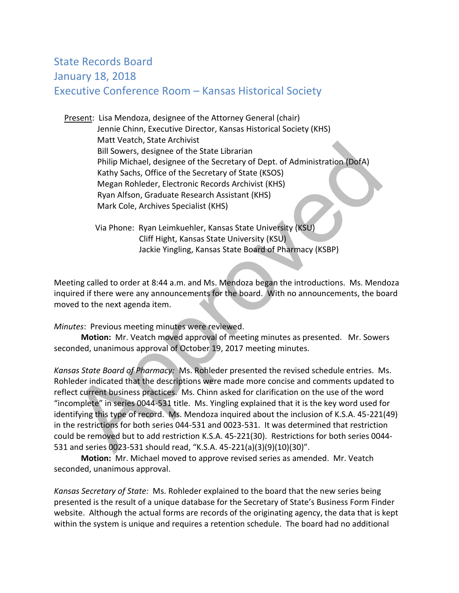## State Records Board January 18, 2018 Executive Conference Room – Kansas Historical Society

 Present: Lisa Mendoza, designee of the Attorney General (chair) Jennie Chinn, Executive Director, Kansas Historical Society (KHS) Matt Veatch, State Archivist Bill Sowers, designee of the State Librarian Philip Michael, designee of the Secretary of Dept. of Administration (DofA) Kathy Sachs, Office of the Secretary of State (KSOS) Megan Rohleder, Electronic Records Archivist (KHS) Ryan Alfson, Graduate Research Assistant (KHS) Mark Cole, Archives Specialist (KHS)

 Via Phone: Ryan Leimkuehler, Kansas State University (KSU) Cliff Hight, Kansas State University (KSU) Jackie Yingling, Kansas State Board of Pharmacy (KSBP)

Meeting called to order at 8:44 a.m. and Ms. Mendoza began the introductions. Ms. Mendoza inquired if there were any announcements for the board. With no announcements, the board moved to the next agenda item.

*Minutes*: Previous meeting minutes were reviewed.

 **Motion:** Mr. Veatch moved approval of meeting minutes as presented. Mr. Sowers seconded, unanimous approval of October 19, 2017 meeting minutes.

*Kansas State Board of Pharmacy:* Ms. Rohleder presented the revised schedule entries. Ms. Rohleder indicated that the descriptions were made more concise and comments updated to reflect current business practices. Ms. Chinn asked for clarification on the use of the word "incomplete" in series 0044-531 title. Ms. Yingling explained that it is the key word used for identifying this type of record. Ms. Mendoza inquired about the inclusion of K.S.A. 45-221(49) in the restrictions for both series 044-531 and 0023-531. It was determined that restriction could be removed but to add restriction K.S.A. 45-221(30). Restrictions for both series 0044- 531 and series 0023-531 should read, "K.S.A. 45-221(a)(3)(9)(10)(30)". wat veaturi, sate such that Etheration (Bowers, designee of the State Librarian<br>
Bill Sowers, designee of the Secretary of Step (KSOS)<br>
Kathy Sarbs, Office of the Secretary of State (KSOS)<br>
Megan Rohleder, Electronic Recor

**Motion:** Mr. Michael moved to approve revised series as amended. Mr. Veatch seconded, unanimous approval.

*Kansas Secretary of State:* Ms. Rohleder explained to the board that the new series being presented is the result of a unique database for the Secretary of State's Business Form Finder website. Although the actual forms are records of the originating agency, the data that is kept within the system is unique and requires a retention schedule. The board had no additional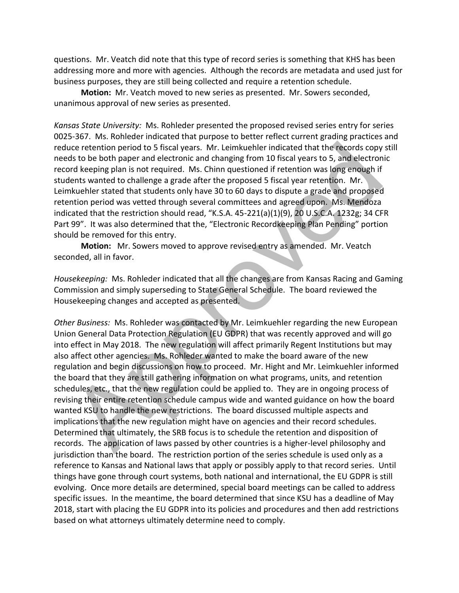questions. Mr. Veatch did note that this type of record series is something that KHS has been addressing more and more with agencies. Although the records are metadata and used just for business purposes, they are still being collected and require a retention schedule.

**Motion:** Mr. Veatch moved to new series as presented. Mr. Sowers seconded, unanimous approval of new series as presented.

*Kansas State University:* Ms. Rohleder presented the proposed revised series entry for series 0025-367. Ms. Rohleder indicated that purpose to better reflect current grading practices and reduce retention period to 5 fiscal years. Mr. Leimkuehler indicated that the records copy still needs to be both paper and electronic and changing from 10 fiscal years to 5, and electronic record keeping plan is not required. Ms. Chinn questioned if retention was long enough if students wanted to challenge a grade after the proposed 5 fiscal year retention. Mr. Leimkuehler stated that students only have 30 to 60 days to dispute a grade and proposed retention period was vetted through several committees and agreed upon. Ms. Mendoza indicated that the restriction should read, "K.S.A. 45-221(a)(1)(9), 20 U.S.C.A. 1232g; 34 CFR Part 99". It was also determined that the, "Electronic Recordkeeping Plan Pending" portion should be removed for this entry.

**Motion:** Mr. Sowers moved to approve revised entry as amended. Mr. Veatch seconded, all in favor.

*Housekeeping:* Ms. Rohleder indicated that all the changes are from Kansas Racing and Gaming Commission and simply superseding to State General Schedule. The board reviewed the Housekeeping changes and accepted as presented.

*Other Business:* Ms. Rohleder was contacted by Mr. Leimkuehler regarding the new European Union General Data Protection Regulation (EU GDPR) that was recently approved and will go into effect in May 2018. The new regulation will affect primarily Regent Institutions but may also affect other agencies. Ms. Rohleder wanted to make the board aware of the new regulation and begin discussions on how to proceed. Mr. Hight and Mr. Leimkuehler informed the board that they are still gathering information on what programs, units, and retention schedules, etc., that the new regulation could be applied to. They are in ongoing process of revising their entire retention schedule campus wide and wanted guidance on how the board wanted KSU to handle the new restrictions. The board discussed multiple aspects and implications that the new regulation might have on agencies and their record schedules. Determined that ultimately, the SRB focus is to schedule the retention and disposition of records. The application of laws passed by other countries is a higher-level philosophy and jurisdiction than the board. The restriction portion of the series schedule is used only as a reference to Kansas and National laws that apply or possibly apply to that record series. Until things have gone through court systems, both national and international, the EU GDPR is still evolving. Once more details are determined, special board meetings can be called to address specific issues. In the meantime, the board determined that since KSU has a deadline of May 2018, start with placing the EU GDPR into its policies and procedures and then add restrictions based on what attorneys ultimately determine need to comply. ice tretention period to 5 fiscal years. Mr. Leimkuehler indicated that the records copy<br>of the both paper and electrionic and changing from 10 fiscal years to 5, and electron<br>ord keeping plan is not required. Ms. Chinn qu